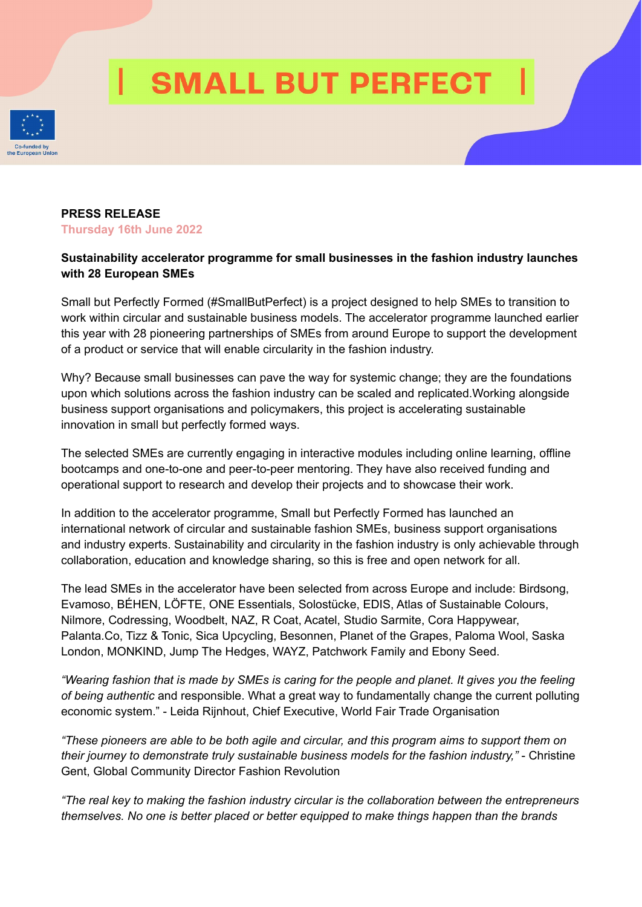# **SMALL BUT PERFECT**



### **PRESS RELEASE Thursday 16th June 2022**

# **Sustainability accelerator programme for small businesses in the fashion industry launches with 28 European SMEs**

Small but Perfectly Formed (#SmallButPerfect) is a project designed to help SMEs to transition to work within circular and sustainable business models. The accelerator programme launched earlier this year with 28 pioneering partnerships of SMEs from around Europe to support the development of a product or service that will enable circularity in the fashion industry.

Why? Because small businesses can pave the way for systemic change; they are the foundations upon which solutions across the fashion industry can be scaled and replicated.Working alongside business support organisations and policymakers, this project is accelerating sustainable innovation in small but perfectly formed ways.

The selected SMEs are currently engaging in interactive modules including online learning, offline bootcamps and one-to-one and peer-to-peer mentoring. They have also received funding and operational support to research and develop their projects and to showcase their work.

In addition to the accelerator programme, Small but Perfectly Formed has launched an international network of circular and sustainable fashion SMEs, business support organisations and industry experts. Sustainability and circularity in the fashion industry is only achievable through collaboration, education and knowledge sharing, so this is free and open network for all.

The lead SMEs in the accelerator have been selected from across Europe and include: Birdsong, Evamoso, BÉHEN, LÖFTE, ONE Essentials, Solostücke, EDIS, Atlas of Sustainable Colours, Nilmore, Codressing, Woodbelt, NAZ, R Coat, Acatel, Studio Sarmite, Cora Happywear, Palanta.Co, Tizz & Tonic, Sica Upcycling, Besonnen, Planet of the Grapes, Paloma Wool, Saska London, MONKIND, Jump The Hedges, WAYZ, Patchwork Family and Ebony Seed.

"Wearing fashion that is made by SMEs is caring for the people and planet. It gives you the feeling *of being authentic* and responsible. What a great way to fundamentally change the current polluting economic system." - Leida Rijnhout, Chief Executive, World Fair Trade Organisation

*"These pioneers are able to be both agile and circular, and this program aims to support them on their journey to demonstrate truly sustainable business models for the fashion industry,"* - Christine Gent, Global Community Director Fashion Revolution

*"The real key to making the fashion industry circular is the collaboration between the entrepreneurs themselves. No one is better placed or better equipped to make things happen than the brands*